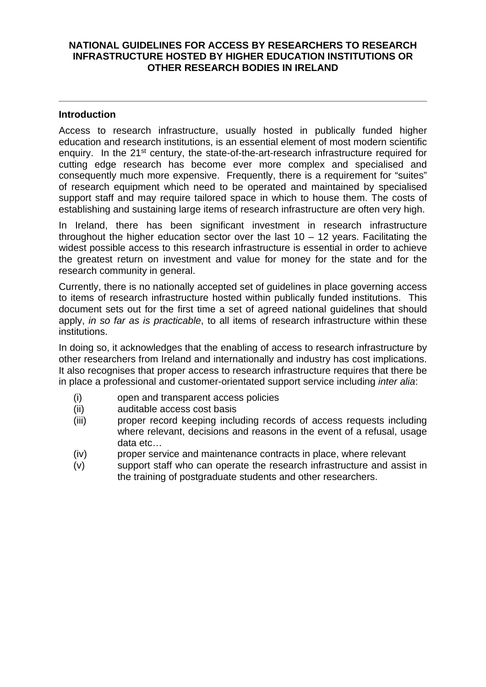# **NATIONAL GUIDELINES FOR ACCESS BY RESEARCHERS TO RESEARCH INFRASTRUCTURE HOSTED BY HIGHER EDUCATION INSTITUTIONS OR OTHER RESEARCH BODIES IN IRELAND**

#### **Introduction**

Access to research infrastructure, usually hosted in publically funded higher education and research institutions, is an essential element of most modern scientific enquiry. In the 21<sup>st</sup> century, the state-of-the-art-research infrastructure required for cutting edge research has become ever more complex and specialised and consequently much more expensive. Frequently, there is a requirement for "suites" of research equipment which need to be operated and maintained by specialised support staff and may require tailored space in which to house them. The costs of establishing and sustaining large items of research infrastructure are often very high.

In Ireland, there has been significant investment in research infrastructure throughout the higher education sector over the last  $10 - 12$  years. Facilitating the widest possible access to this research infrastructure is essential in order to achieve the greatest return on investment and value for money for the state and for the research community in general.

Currently, there is no nationally accepted set of guidelines in place governing access to items of research infrastructure hosted within publically funded institutions. This document sets out for the first time a set of agreed national guidelines that should apply, *in so far as is practicable*, to all items of research infrastructure within these institutions.

In doing so, it acknowledges that the enabling of access to research infrastructure by other researchers from Ireland and internationally and industry has cost implications. It also recognises that proper access to research infrastructure requires that there be in place a professional and customer-orientated support service including *inter alia*:

- (i) open and transparent access policies
- (ii) auditable access cost basis
- (iii) proper record keeping including records of access requests including where relevant, decisions and reasons in the event of a refusal, usage data etc…
- (iv) proper service and maintenance contracts in place, where relevant
- (v) support staff who can operate the research infrastructure and assist in the training of postgraduate students and other researchers.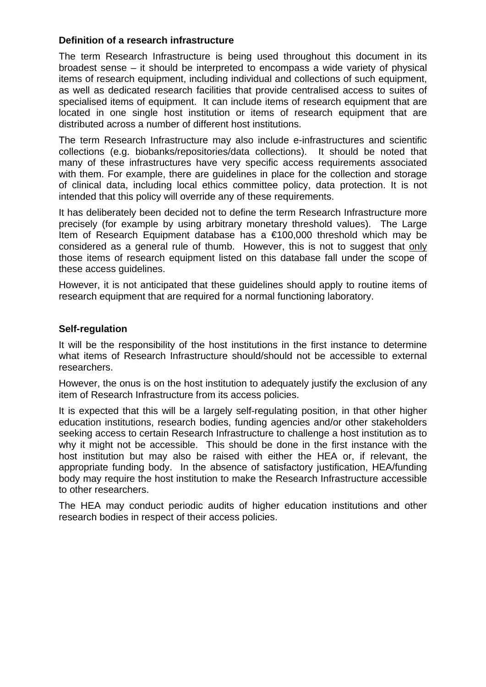# **Definition of a research infrastructure**

The term Research Infrastructure is being used throughout this document in its broadest sense – it should be interpreted to encompass a wide variety of physical items of research equipment, including individual and collections of such equipment, as well as dedicated research facilities that provide centralised access to suites of specialised items of equipment. It can include items of research equipment that are located in one single host institution or items of research equipment that are distributed across a number of different host institutions.

The term Research Infrastructure may also include e-infrastructures and scientific collections (e.g. biobanks/repositories/data collections). It should be noted that many of these infrastructures have very specific access requirements associated with them. For example, there are guidelines in place for the collection and storage of clinical data, including local ethics committee policy, data protection. It is not intended that this policy will override any of these requirements.

It has deliberately been decided not to define the term Research Infrastructure more precisely (for example by using arbitrary monetary threshold values). The Large Item of Research Equipment database has a €100,000 threshold which may be considered as a general rule of thumb. However, this is not to suggest that only those items of research equipment listed on this database fall under the scope of these access guidelines.

However, it is not anticipated that these guidelines should apply to routine items of research equipment that are required for a normal functioning laboratory.

## **Self-regulation**

It will be the responsibility of the host institutions in the first instance to determine what items of Research Infrastructure should/should not be accessible to external researchers.

However, the onus is on the host institution to adequately justify the exclusion of any item of Research Infrastructure from its access policies.

It is expected that this will be a largely self-regulating position, in that other higher education institutions, research bodies, funding agencies and/or other stakeholders seeking access to certain Research Infrastructure to challenge a host institution as to why it might not be accessible. This should be done in the first instance with the host institution but may also be raised with either the HEA or, if relevant, the appropriate funding body. In the absence of satisfactory justification, HEA/funding body may require the host institution to make the Research Infrastructure accessible to other researchers.

The HEA may conduct periodic audits of higher education institutions and other research bodies in respect of their access policies.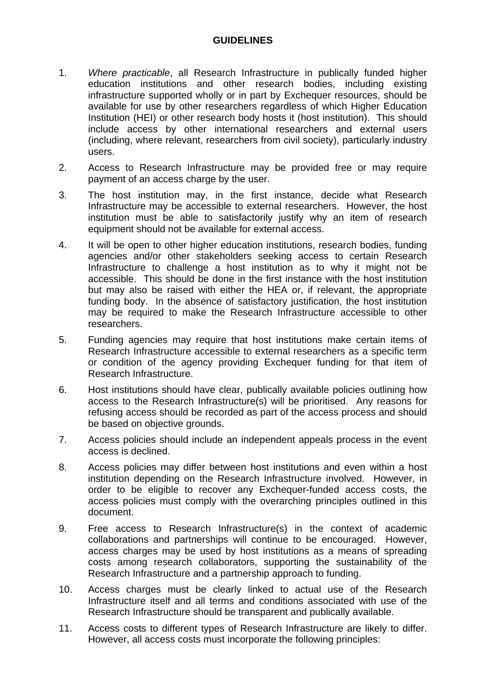# **GUIDELINES**

- 1. *Where practicable*, all Research Infrastructure in publically funded higher education institutions and other research bodies, including existing infrastructure supported wholly or in part by Exchequer resources, should be available for use by other researchers regardless of which Higher Education Institution (HEI) or other research body hosts it (host institution). This should include access by other international researchers and external users (including, where relevant, researchers from civil society), particularly industry users.
- 2. Access to Research Infrastructure may be provided free or may require payment of an access charge by the user.
- 3. The host institution may, in the first instance, decide what Research Infrastructure may be accessible to external researchers. However, the host institution must be able to satisfactorily justify why an item of research equipment should not be available for external access.
- 4. It will be open to other higher education institutions, research bodies, funding agencies and/or other stakeholders seeking access to certain Research Infrastructure to challenge a host institution as to why it might not be accessible. This should be done in the first instance with the host institution but may also be raised with either the HEA or, if relevant, the appropriate funding body. In the absence of satisfactory justification, the host institution may be required to make the Research Infrastructure accessible to other researchers.
- 5. Funding agencies may require that host institutions make certain items of Research Infrastructure accessible to external researchers as a specific term or condition of the agency providing Exchequer funding for that item of Research Infrastructure.
- 6. Host institutions should have clear, publically available policies outlining how access to the Research Infrastructure(s) will be prioritised. Any reasons for refusing access should be recorded as part of the access process and should be based on objective grounds.
- 7. Access policies should include an independent appeals process in the event access is declined.
- 8. Access policies may differ between host institutions and even within a host institution depending on the Research Infrastructure involved. However, in order to be eligible to recover any Exchequer-funded access costs, the access policies must comply with the overarching principles outlined in this document.
- 9. Free access to Research Infrastructure(s) in the context of academic collaborations and partnerships will continue to be encouraged. However, access charges may be used by host institutions as a means of spreading costs among research collaborators, supporting the sustainability of the Research Infrastructure and a partnership approach to funding.
- 10. Access charges must be clearly linked to actual use of the Research Infrastructure itself and all terms and conditions associated with use of the Research Infrastructure should be transparent and publically available.
- 11. Access costs to different types of Research Infrastructure are likely to differ. However, all access costs must incorporate the following principles: